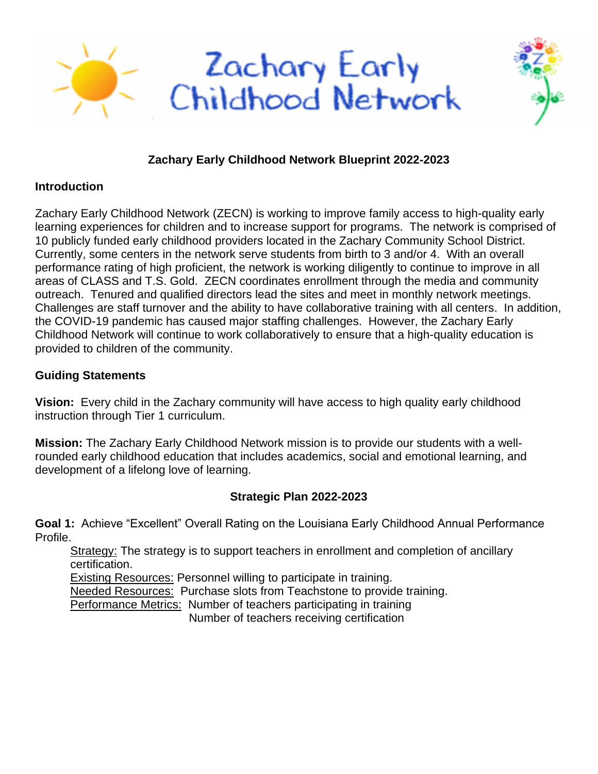

## **Zachary Early Childhood Network Blueprint 2022-2023**

## **Introduction**

Zachary Early Childhood Network (ZECN) is working to improve family access to high-quality early learning experiences for children and to increase support for programs. The network is comprised of 10 publicly funded early childhood providers located in the Zachary Community School District. Currently, some centers in the network serve students from birth to 3 and/or 4. With an overall performance rating of high proficient, the network is working diligently to continue to improve in all areas of CLASS and T.S. Gold. ZECN coordinates enrollment through the media and community outreach. Tenured and qualified directors lead the sites and meet in monthly network meetings. Challenges are staff turnover and the ability to have collaborative training with all centers. In addition, the COVID-19 pandemic has caused major staffing challenges. However, the Zachary Early Childhood Network will continue to work collaboratively to ensure that a high-quality education is provided to children of the community.

## **Guiding Statements**

**Vision:** Every child in the Zachary community will have access to high quality early childhood instruction through Tier 1 curriculum.

**Mission:** The Zachary Early Childhood Network mission is to provide our students with a wellrounded early childhood education that includes academics, social and emotional learning, and development of a lifelong love of learning.

## **Strategic Plan 2022-2023**

**Goal 1:** Achieve "Excellent" Overall Rating on the Louisiana Early Childhood Annual Performance Profile.

Strategy: The strategy is to support teachers in enrollment and completion of ancillary certification.

Existing Resources: Personnel willing to participate in training. Needed Resources: Purchase slots from Teachstone to provide training.

Performance Metrics: Number of teachers participating in training

Number of teachers receiving certification